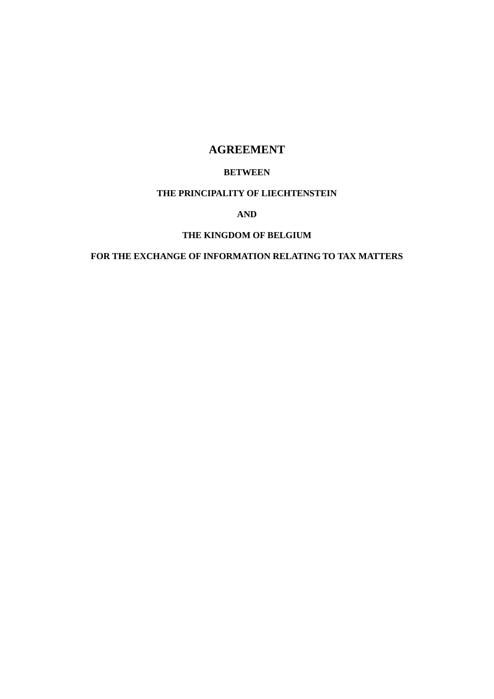# **AGREEMENT**

# **BETWEEN**

# **THE PRINCIPALITY OF LIECHTENSTEIN**

**AND**

# **THE KINGDOM OF BELGIUM**

# **FOR THE EXCHANGE OF INFORMATION RELATING TO TAX MATTERS**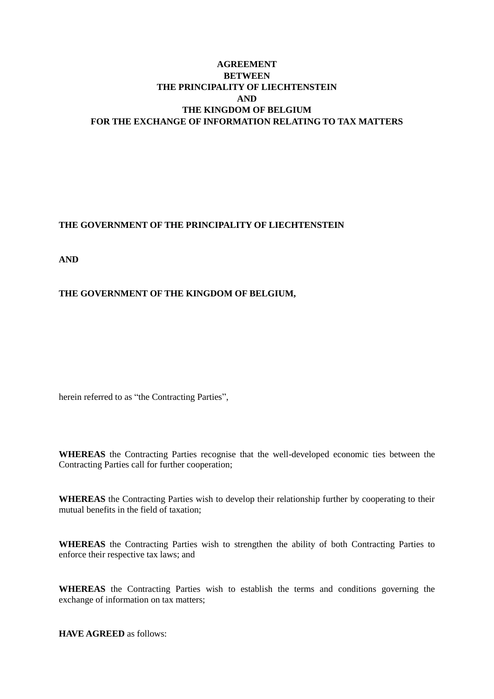# **AGREEMENT BETWEEN THE PRINCIPALITY OF LIECHTENSTEIN AND THE KINGDOM OF BELGIUM FOR THE EXCHANGE OF INFORMATION RELATING TO TAX MATTERS**

# **THE GOVERNMENT OF THE PRINCIPALITY OF LIECHTENSTEIN**

**AND**

# **THE GOVERNMENT OF THE KINGDOM OF BELGIUM,**

herein referred to as "the Contracting Parties",

**WHEREAS** the Contracting Parties recognise that the well-developed economic ties between the Contracting Parties call for further cooperation;

**WHEREAS** the Contracting Parties wish to develop their relationship further by cooperating to their mutual benefits in the field of taxation;

**WHEREAS** the Contracting Parties wish to strengthen the ability of both Contracting Parties to enforce their respective tax laws; and

**WHEREAS** the Contracting Parties wish to establish the terms and conditions governing the exchange of information on tax matters;

**HAVE AGREED** as follows: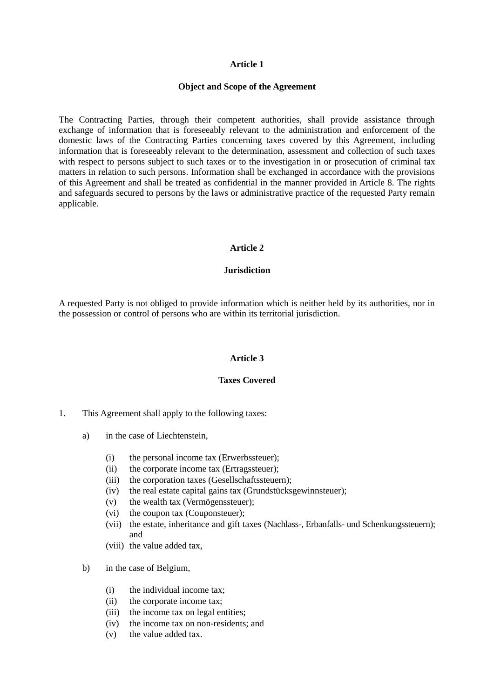#### **Object and Scope of the Agreement**

The Contracting Parties, through their competent authorities, shall provide assistance through exchange of information that is foreseeably relevant to the administration and enforcement of the domestic laws of the Contracting Parties concerning taxes covered by this Agreement, including information that is foreseeably relevant to the determination, assessment and collection of such taxes with respect to persons subject to such taxes or to the investigation in or prosecution of criminal tax matters in relation to such persons. Information shall be exchanged in accordance with the provisions of this Agreement and shall be treated as confidential in the manner provided in Article 8. The rights and safeguards secured to persons by the laws or administrative practice of the requested Party remain applicable.

#### **Article 2**

#### **Jurisdiction**

A requested Party is not obliged to provide information which is neither held by its authorities, nor in the possession or control of persons who are within its territorial jurisdiction.

#### **Article 3**

#### **Taxes Covered**

- 1. This Agreement shall apply to the following taxes:
	- a) in the case of Liechtenstein,
		- (i) the personal income tax (Erwerbssteuer);
		- (ii) the corporate income tax (Ertragssteuer);
		- (iii) the corporation taxes (Gesellschaftssteuern);
		- (iv) the real estate capital gains tax (Grundstücksgewinnsteuer);
		- (v) the wealth tax (Vermögenssteuer);
		- (vi) the coupon tax (Couponsteuer);
		- (vii) the estate, inheritance and gift taxes (Nachlass-, Erbanfalls- und Schenkungssteuern); and
		- (viii) the value added tax,
	- b) in the case of Belgium,
		- (i) the individual income tax;
		- (ii) the corporate income tax;
		- (iii) the income tax on legal entities;
		- (iv) the income tax on non-residents; and
		- (v) the value added tax.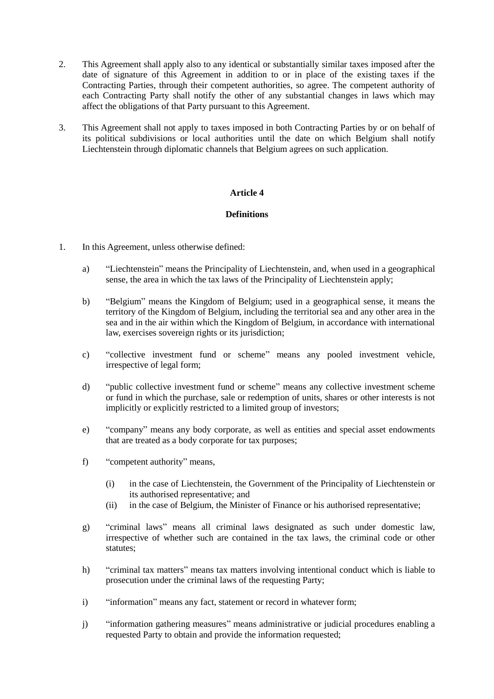- 2. This Agreement shall apply also to any identical or substantially similar taxes imposed after the date of signature of this Agreement in addition to or in place of the existing taxes if the Contracting Parties, through their competent authorities, so agree. The competent authority of each Contracting Party shall notify the other of any substantial changes in laws which may affect the obligations of that Party pursuant to this Agreement.
- 3. This Agreement shall not apply to taxes imposed in both Contracting Parties by or on behalf of its political subdivisions or local authorities until the date on which Belgium shall notify Liechtenstein through diplomatic channels that Belgium agrees on such application.

### **Definitions**

- 1. In this Agreement, unless otherwise defined:
	- a) "Liechtenstein" means the Principality of Liechtenstein, and, when used in a geographical sense, the area in which the tax laws of the Principality of Liechtenstein apply;
	- b) "Belgium" means the Kingdom of Belgium; used in a geographical sense, it means the territory of the Kingdom of Belgium, including the territorial sea and any other area in the sea and in the air within which the Kingdom of Belgium, in accordance with international law, exercises sovereign rights or its jurisdiction;
	- c) "collective investment fund or scheme" means any pooled investment vehicle, irrespective of legal form;
	- d) "public collective investment fund or scheme" means any collective investment scheme or fund in which the purchase, sale or redemption of units, shares or other interests is not implicitly or explicitly restricted to a limited group of investors;
	- e) "company" means any body corporate, as well as entities and special asset endowments that are treated as a body corporate for tax purposes;
	- f) "competent authority" means,
		- (i) in the case of Liechtenstein, the Government of the Principality of Liechtenstein or its authorised representative; and
		- (ii) in the case of Belgium, the Minister of Finance or his authorised representative;
	- g) "criminal laws" means all criminal laws designated as such under domestic law, irrespective of whether such are contained in the tax laws, the criminal code or other statutes;
	- h) "criminal tax matters" means tax matters involving intentional conduct which is liable to prosecution under the criminal laws of the requesting Party;
	- i) "information" means any fact, statement or record in whatever form;
	- j) "information gathering measures" means administrative or judicial procedures enabling a requested Party to obtain and provide the information requested;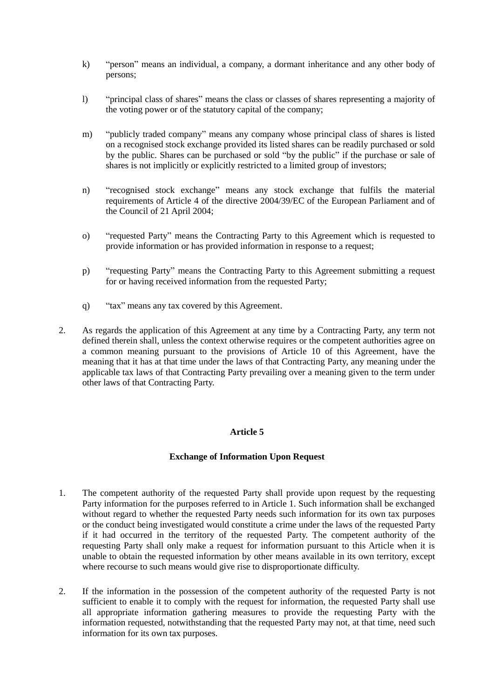- k) "person" means an individual, a company, a dormant inheritance and any other body of persons;
- l) "principal class of shares" means the class or classes of shares representing a majority of the voting power or of the statutory capital of the company;
- m) "publicly traded company" means any company whose principal class of shares is listed on a recognised stock exchange provided its listed shares can be readily purchased or sold by the public. Shares can be purchased or sold "by the public" if the purchase or sale of shares is not implicitly or explicitly restricted to a limited group of investors;
- n) "recognised stock exchange" means any stock exchange that fulfils the material requirements of Article 4 of the directive 2004/39/EC of the European Parliament and of the Council of 21 April 2004;
- o) "requested Party" means the Contracting Party to this Agreement which is requested to provide information or has provided information in response to a request;
- p) "requesting Party" means the Contracting Party to this Agreement submitting a request for or having received information from the requested Party;
- q) "tax" means any tax covered by this Agreement.
- 2. As regards the application of this Agreement at any time by a Contracting Party, any term not defined therein shall, unless the context otherwise requires or the competent authorities agree on a common meaning pursuant to the provisions of Article 10 of this Agreement, have the meaning that it has at that time under the laws of that Contracting Party, any meaning under the applicable tax laws of that Contracting Party prevailing over a meaning given to the term under other laws of that Contracting Party.

# **Exchange of Information Upon Request**

- 1. The competent authority of the requested Party shall provide upon request by the requesting Party information for the purposes referred to in Article 1. Such information shall be exchanged without regard to whether the requested Party needs such information for its own tax purposes or the conduct being investigated would constitute a crime under the laws of the requested Party if it had occurred in the territory of the requested Party. The competent authority of the requesting Party shall only make a request for information pursuant to this Article when it is unable to obtain the requested information by other means available in its own territory, except where recourse to such means would give rise to disproportionate difficulty.
- 2. If the information in the possession of the competent authority of the requested Party is not sufficient to enable it to comply with the request for information, the requested Party shall use all appropriate information gathering measures to provide the requesting Party with the information requested, notwithstanding that the requested Party may not, at that time, need such information for its own tax purposes.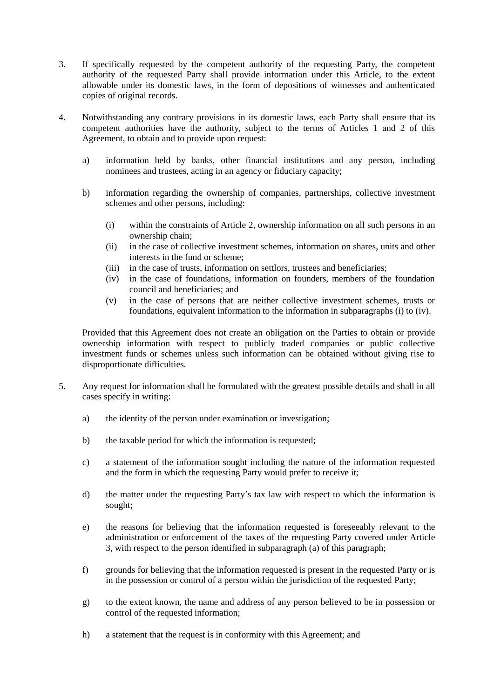- 3. If specifically requested by the competent authority of the requesting Party, the competent authority of the requested Party shall provide information under this Article, to the extent allowable under its domestic laws, in the form of depositions of witnesses and authenticated copies of original records.
- 4. Notwithstanding any contrary provisions in its domestic laws, each Party shall ensure that its competent authorities have the authority, subject to the terms of Articles 1 and 2 of this Agreement, to obtain and to provide upon request:
	- a) information held by banks, other financial institutions and any person, including nominees and trustees, acting in an agency or fiduciary capacity;
	- b) information regarding the ownership of companies, partnerships, collective investment schemes and other persons, including:
		- (i) within the constraints of Article 2, ownership information on all such persons in an ownership chain;
		- (ii) in the case of collective investment schemes, information on shares, units and other interests in the fund or scheme;
		- (iii) in the case of trusts, information on settlors, trustees and beneficiaries;
		- (iv) in the case of foundations, information on founders, members of the foundation council and beneficiaries; and
		- (v) in the case of persons that are neither collective investment schemes, trusts or foundations, equivalent information to the information in subparagraphs (i) to (iv).

Provided that this Agreement does not create an obligation on the Parties to obtain or provide ownership information with respect to publicly traded companies or public collective investment funds or schemes unless such information can be obtained without giving rise to disproportionate difficulties.

- 5. Any request for information shall be formulated with the greatest possible details and shall in all cases specify in writing:
	- a) the identity of the person under examination or investigation;
	- b) the taxable period for which the information is requested;
	- c) a statement of the information sought including the nature of the information requested and the form in which the requesting Party would prefer to receive it;
	- d) the matter under the requesting Party"s tax law with respect to which the information is sought;
	- e) the reasons for believing that the information requested is foreseeably relevant to the administration or enforcement of the taxes of the requesting Party covered under Article 3, with respect to the person identified in subparagraph (a) of this paragraph;
	- f) grounds for believing that the information requested is present in the requested Party or is in the possession or control of a person within the jurisdiction of the requested Party;
	- g) to the extent known, the name and address of any person believed to be in possession or control of the requested information;
	- h) a statement that the request is in conformity with this Agreement; and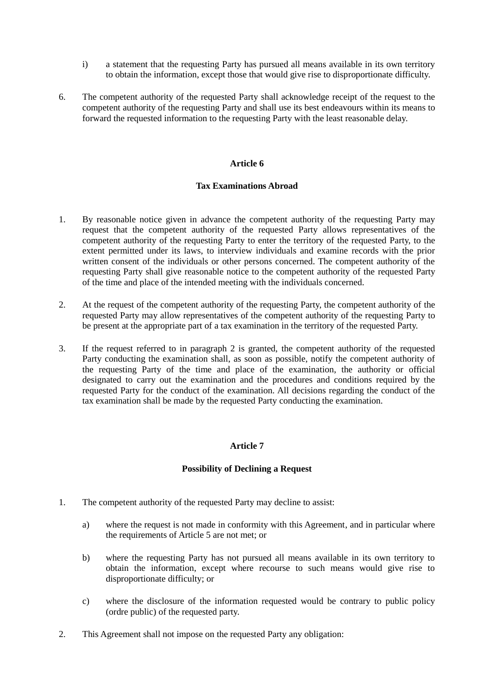- i) a statement that the requesting Party has pursued all means available in its own territory to obtain the information, except those that would give rise to disproportionate difficulty.
- 6. The competent authority of the requested Party shall acknowledge receipt of the request to the competent authority of the requesting Party and shall use its best endeavours within its means to forward the requested information to the requesting Party with the least reasonable delay.

### **Tax Examinations Abroad**

- 1. By reasonable notice given in advance the competent authority of the requesting Party may request that the competent authority of the requested Party allows representatives of the competent authority of the requesting Party to enter the territory of the requested Party, to the extent permitted under its laws, to interview individuals and examine records with the prior written consent of the individuals or other persons concerned. The competent authority of the requesting Party shall give reasonable notice to the competent authority of the requested Party of the time and place of the intended meeting with the individuals concerned.
- 2. At the request of the competent authority of the requesting Party, the competent authority of the requested Party may allow representatives of the competent authority of the requesting Party to be present at the appropriate part of a tax examination in the territory of the requested Party.
- 3. If the request referred to in paragraph 2 is granted, the competent authority of the requested Party conducting the examination shall, as soon as possible, notify the competent authority of the requesting Party of the time and place of the examination, the authority or official designated to carry out the examination and the procedures and conditions required by the requested Party for the conduct of the examination. All decisions regarding the conduct of the tax examination shall be made by the requested Party conducting the examination.

# **Article 7**

### **Possibility of Declining a Request**

- 1. The competent authority of the requested Party may decline to assist:
	- a) where the request is not made in conformity with this Agreement, and in particular where the requirements of Article 5 are not met; or
	- b) where the requesting Party has not pursued all means available in its own territory to obtain the information, except where recourse to such means would give rise to disproportionate difficulty; or
	- c) where the disclosure of the information requested would be contrary to public policy (ordre public) of the requested party.
- 2. This Agreement shall not impose on the requested Party any obligation: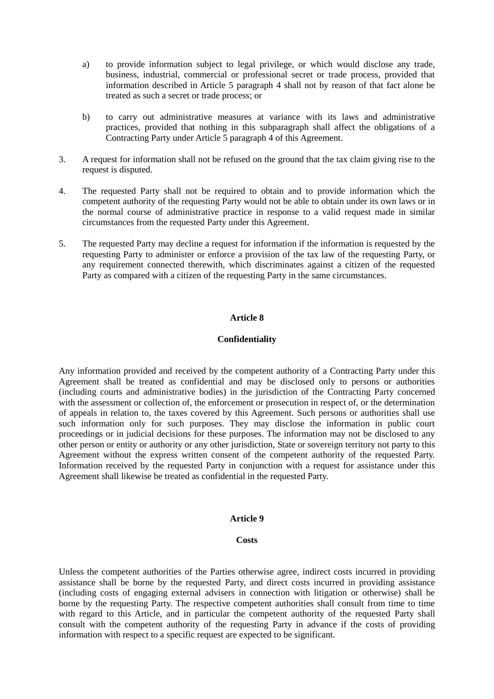- a) to provide information subject to legal privilege, or which would disclose any trade, business, industrial, commercial or professional secret or trade process, provided that information described in Article 5 paragraph 4 shall not by reason of that fact alone be treated as such a secret or trade process; or
- b) to carry out administrative measures at variance with its laws and administrative practices, provided that nothing in this subparagraph shall affect the obligations of a Contracting Party under Article 5 paragraph 4 of this Agreement.
- 3. A request for information shall not be refused on the ground that the tax claim giving rise to the request is disputed.
- 4. The requested Party shall not be required to obtain and to provide information which the competent authority of the requesting Party would not be able to obtain under its own laws or in the normal course of administrative practice in response to a valid request made in similar circumstances from the requested Party under this Agreement.
- 5. The requested Party may decline a request for information if the information is requested by the requesting Party to administer or enforce a provision of the tax law of the requesting Party, or any requirement connected therewith, which discriminates against a citizen of the requested Party as compared with a citizen of the requesting Party in the same circumstances.

#### **Confidentiality**

Any information provided and received by the competent authority of a Contracting Party under this Agreement shall be treated as confidential and may be disclosed only to persons or authorities (including courts and administrative bodies) in the jurisdiction of the Contracting Party concerned with the assessment or collection of, the enforcement or prosecution in respect of, or the determination of appeals in relation to, the taxes covered by this Agreement. Such persons or authorities shall use such information only for such purposes. They may disclose the information in public court proceedings or in judicial decisions for these purposes. The information may not be disclosed to any other person or entity or authority or any other jurisdiction, State or sovereign territory not party to this Agreement without the express written consent of the competent authority of the requested Party. Information received by the requested Party in conjunction with a request for assistance under this Agreement shall likewise be treated as confidential in the requested Party.

#### **Article 9**

#### **Costs**

Unless the competent authorities of the Parties otherwise agree, indirect costs incurred in providing assistance shall be borne by the requested Party, and direct costs incurred in providing assistance (including costs of engaging external advisers in connection with litigation or otherwise) shall be borne by the requesting Party. The respective competent authorities shall consult from time to time with regard to this Article, and in particular the competent authority of the requested Party shall consult with the competent authority of the requesting Party in advance if the costs of providing information with respect to a specific request are expected to be significant.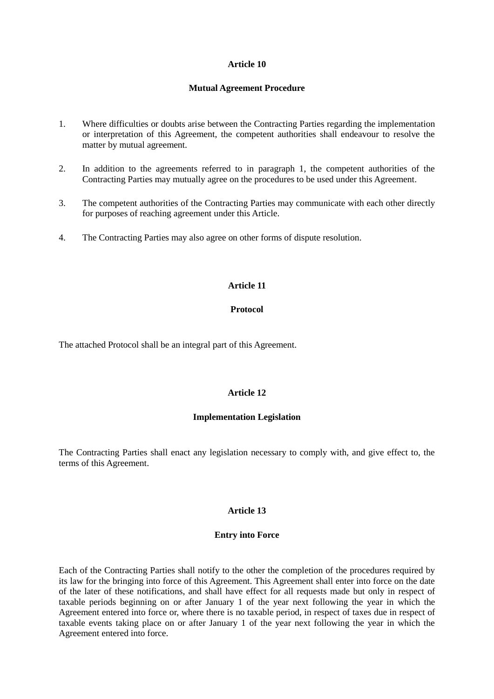### **Mutual Agreement Procedure**

- 1. Where difficulties or doubts arise between the Contracting Parties regarding the implementation or interpretation of this Agreement, the competent authorities shall endeavour to resolve the matter by mutual agreement.
- 2. In addition to the agreements referred to in paragraph 1, the competent authorities of the Contracting Parties may mutually agree on the procedures to be used under this Agreement.
- 3. The competent authorities of the Contracting Parties may communicate with each other directly for purposes of reaching agreement under this Article.
- 4. The Contracting Parties may also agree on other forms of dispute resolution.

# **Article 11**

# **Protocol**

The attached Protocol shall be an integral part of this Agreement.

# **Article 12**

# **Implementation Legislation**

The Contracting Parties shall enact any legislation necessary to comply with, and give effect to, the terms of this Agreement.

# **Article 13**

# **Entry into Force**

Each of the Contracting Parties shall notify to the other the completion of the procedures required by its law for the bringing into force of this Agreement. This Agreement shall enter into force on the date of the later of these notifications, and shall have effect for all requests made but only in respect of taxable periods beginning on or after January 1 of the year next following the year in which the Agreement entered into force or, where there is no taxable period, in respect of taxes due in respect of taxable events taking place on or after January 1 of the year next following the year in which the Agreement entered into force.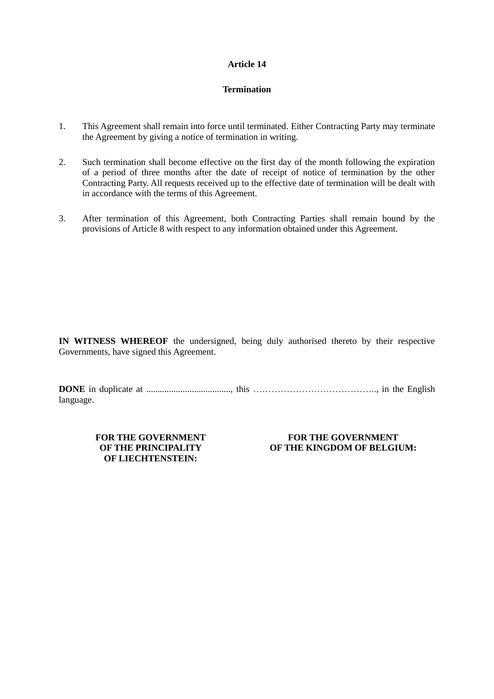### **Termination**

- 1. This Agreement shall remain into force until terminated. Either Contracting Party may terminate the Agreement by giving a notice of termination in writing.
- 2. Such termination shall become effective on the first day of the month following the expiration of a period of three months after the date of receipt of notice of termination by the other Contracting Party. All requests received up to the effective date of termination will be dealt with in accordance with the terms of this Agreement.
- 3. After termination of this Agreement, both Contracting Parties shall remain bound by the provisions of Article 8 with respect to any information obtained under this Agreement.

**IN WITNESS WHEREOF** the undersigned, being duly authorised thereto by their respective Governments, have signed this Agreement.

**DONE** in duplicate at ....................................., this ………………………………….., in the English language.

**FOR THE GOVERNMENT OF THE PRINCIPALITY OF LIECHTENSTEIN:**

**FOR THE GOVERNMENT OF THE KINGDOM OF BELGIUM:**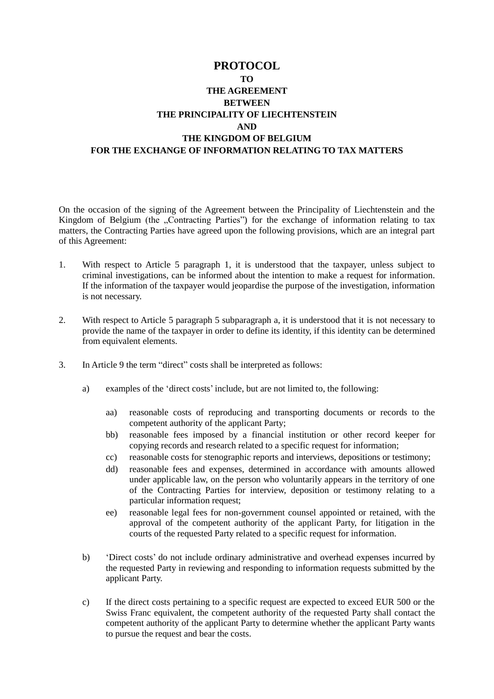# **PROTOCOL TO THE AGREEMENT BETWEEN THE PRINCIPALITY OF LIECHTENSTEIN AND THE KINGDOM OF BELGIUM FOR THE EXCHANGE OF INFORMATION RELATING TO TAX MATTERS**

On the occasion of the signing of the Agreement between the Principality of Liechtenstein and the Kingdom of Belgium (the "Contracting Parties") for the exchange of information relating to tax matters, the Contracting Parties have agreed upon the following provisions, which are an integral part of this Agreement:

- 1. With respect to Article 5 paragraph 1, it is understood that the taxpayer, unless subject to criminal investigations, can be informed about the intention to make a request for information. If the information of the taxpayer would jeopardise the purpose of the investigation, information is not necessary.
- 2. With respect to Article 5 paragraph 5 subparagraph a, it is understood that it is not necessary to provide the name of the taxpayer in order to define its identity, if this identity can be determined from equivalent elements.
- 3. In Article 9 the term "direct" costs shall be interpreted as follows:
	- a) examples of the "direct costs" include, but are not limited to, the following:
		- aa) reasonable costs of reproducing and transporting documents or records to the competent authority of the applicant Party;
		- bb) reasonable fees imposed by a financial institution or other record keeper for copying records and research related to a specific request for information;
		- cc) reasonable costs for stenographic reports and interviews, depositions or testimony;
		- dd) reasonable fees and expenses, determined in accordance with amounts allowed under applicable law, on the person who voluntarily appears in the territory of one of the Contracting Parties for interview, deposition or testimony relating to a particular information request;
		- ee) reasonable legal fees for non-government counsel appointed or retained, with the approval of the competent authority of the applicant Party, for litigation in the courts of the requested Party related to a specific request for information.
	- b) "Direct costs" do not include ordinary administrative and overhead expenses incurred by the requested Party in reviewing and responding to information requests submitted by the applicant Party.
	- c) If the direct costs pertaining to a specific request are expected to exceed EUR 500 or the Swiss Franc equivalent, the competent authority of the requested Party shall contact the competent authority of the applicant Party to determine whether the applicant Party wants to pursue the request and bear the costs.